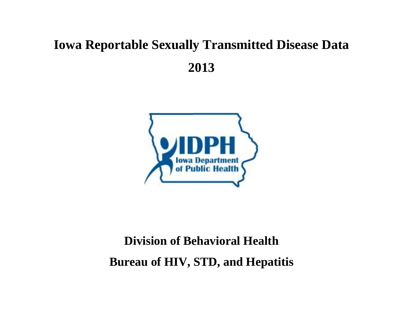## **Iowa Reportable Sexually Transmitted Disease Data 2013**



## **Division of Behavioral Health Bureau of HIV, STD, and Hepatitis**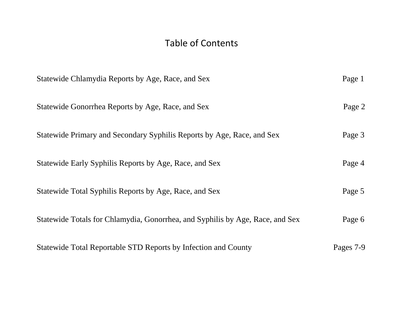## Table of Contents

| Statewide Chlamydia Reports by Age, Race, and Sex                             | Page 1    |
|-------------------------------------------------------------------------------|-----------|
| Statewide Gonorrhea Reports by Age, Race, and Sex                             | Page 2    |
| Statewide Primary and Secondary Syphilis Reports by Age, Race, and Sex        | Page 3    |
| Statewide Early Syphilis Reports by Age, Race, and Sex                        | Page 4    |
| Statewide Total Syphilis Reports by Age, Race, and Sex                        | Page 5    |
| Statewide Totals for Chlamydia, Gonorrhea, and Syphilis by Age, Race, and Sex | Page 6    |
| Statewide Total Reportable STD Reports by Infection and County                | Pages 7-9 |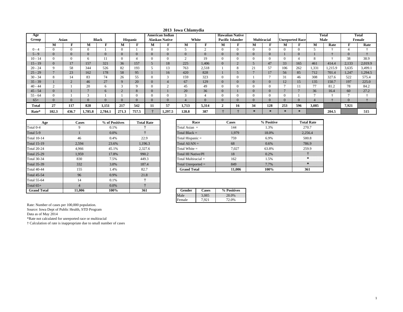|           |                |                |                |              |              |                 |    |                       | 2013 Iowa Chlamydia |                |                |                         |               |                    |                        |              |                |              |          |              |
|-----------|----------------|----------------|----------------|--------------|--------------|-----------------|----|-----------------------|---------------------|----------------|----------------|-------------------------|---------------|--------------------|------------------------|--------------|----------------|--------------|----------|--------------|
| Age       |                |                |                |              |              |                 |    | American Indian       |                     |                |                | <b>Hawaiian Native</b>  |               |                    |                        |              |                | <b>Total</b> |          | <b>Total</b> |
| Group     |                | Asian          |                | <b>Black</b> |              | <b>Hispanic</b> |    | <b>Alaskan Native</b> |                     | White          |                | <b>Pacific Islander</b> |               | <b>Multiracial</b> | <b>Unreported Race</b> |              |                | Male         |          | Female       |
|           | м              |                | М              |              | м            |                 | М  |                       | М                   | Е              | м              |                         | м             | п                  | М                      |              | М              | Rate         |          | Rate         |
| $0 - 4$   | $\Omega$       | $\Omega$       | $\Omega$       |              |              |                 |    | $\mathbf{0}$          |                     | $\sim$         | $\Omega$       | $\Omega$                | $\Omega$      | $\Omega$           | $\Omega$               | $\Omega$     |                |              |          |              |
| $5 - 9$   | $\bf{0}$       | $\Omega$       | $\overline{0}$ |              | $\mathbf{0}$ | $\Omega$        |    | $\mathbf{0}$          | $\overline{0}$      | $\overline{0}$ | 0              | $\overline{0}$          | $\Omega$      | $\overline{0}$     |                        | $\mathbf{0}$ |                |              | $\Omega$ |              |
| $10 - 14$ |                | $\Omega$       | h              |              | 0            |                 |    | $\mathbf{0}$          | $\sim$              | 19             | 0              |                         | $\Omega$      |                    | $\Omega$               |              | 8              |              | 38       | 38.9         |
| $15 - 19$ | $\overline{0}$ | 17             | 157            | 321          | 36           | 157             |    | 18                    | 225                 | 1,406          | $\overline{0}$ | ∠                       |               | 47                 | 33                     | 165          | 461            | 414.4        | 2,133    | 2,019.9      |
| $20 - 24$ | $\mathbf Q$    | 58             | 344            | 526          | 82           | 193             |    | 13                    | 763                 | 2,518          |                | $\Omega$<br>Δ.          | 21            | 57                 | 106                    | 262          | 1,331          | 1,215.9      | 3,635    | 3,499.1      |
| $25 - 29$ |                | 23             | 162            | 178          | 58           | 95              |    | 16                    | 420                 | 828            |                |                         | $\mathbf{r}$  | 17                 | 56                     | 85           | 712            | 701.4        | 1.247    | 1,294.5      |
| $30 - 34$ | 8              | 14             | 83             | 74           | 26           | 55              |    | 3                     | 159                 | 323            | $\mathbf{0}$   |                         |               | $\overline{ }$     | 31                     | 46           | 308            | 327.6        | 522      | 575.4        |
| $35 - 39$ |                | $\overline{2}$ | 46             | 27           | 9            | 20              |    | 4                     | 67                  | 129            | 0              | $\overline{0}$          | $\mathbf{0}$  | $\overline{0}$     | 12                     | 15           | 135            | 150.7        | 197      | 225.0        |
| $40 - 44$ |                |                | 20             |              | 3            | Q               |    | C                     | 45                  | 49             | $\Omega$       |                         | $\Omega$      |                    |                        | 11           | 77             | 81.2         | 78       | 84.2         |
| $45 - 54$ | $\overline{0}$ |                |                | <sub>0</sub> | ∠            | 8               |    |                       | 20                  | 36             | $\overline{0}$ |                         | $\Omega$      | $\overline{0}$     |                        |              | 36             | 16.4         | 60       | 27.2         |
| $55 - 64$ |                |                | $\sim$         |              |              |                 |    | $\mathbf{0}$          | $\sim$              | 4              | $\Omega$       | $\Omega$                | $\Omega$      |                    | $\Omega$               |              | $\overline{a}$ |              |          |              |
| $65+$     | $\Omega$       | $\Omega$       | $\Omega$       |              | $\Omega$     |                 |    | $\Omega$              | $\overline{4}$      | $\Omega$       | 0              | $\Omega$                | $\Omega$      | $\Omega$           | $\Omega$               | $\cup$       | $\overline{4}$ |              | $\Omega$ |              |
| Total     | 27             | 117            | 828            | 1,151        | 217          | 542             | 11 | 57                    | 1,713               | 5,314          | 2              | 16                      | 34            | 128                | 253                    | 596          | 3,085          |              | 7,921    |              |
| Rate*     | 102.3          | 436.7          | 1,785.8        | 2,784.1      | 271.3        | 757.5           |    | 1,297.5               | 128.8               | 387            | ПE.            |                         | $\mathcal{A}$ | $\ast$             | $\ast$                 | $\ast$       |                | 204.5        |          | 515          |

| Age                | <b>Cases</b>   | % of Positives | <b>Total Rate</b> | Race                      | <b>Cases</b> |
|--------------------|----------------|----------------|-------------------|---------------------------|--------------|
| Total 0-4          | 9              | 0.1%           |                   | Total Asian $=$           | 144          |
| Total 5-9          |                | $0.0\%$        |                   | Total Black $=$           | 1.979        |
| <b>Total 10-14</b> | 46             | 0.4%           | 22.9              | Total Hispanic $=$        | 759          |
| <b>Total 15-19</b> | 2,594          | 23.6%          | 1,196.3           | Total $AI/AN =$           | 68           |
| <b>Total 20-24</b> | 4.966          | 45.1%          | 2,327.6           | Total White $=$           | 7.027        |
| <b>Total 25-29</b> | 1,959          | 17.8%          | 990.2             | <b>Total HI Native/PI</b> | 18           |
| <b>Total 30-34</b> | 830            | 7.5%           | 449.3             | Total Multiracial $=$     | 162          |
| <b>Total 35-39</b> | 332            | 3.0%           | 187.4             | Total Unreported $=$      | 849          |
| <b>Total 40-44</b> | 155            | 1.4%           | 82.7              | <b>Grand Total</b>        | 11.006       |
| <b>Total 45-54</b> | 96             | 0.9%           | 21.8              |                           |              |
| Total 55-64        | 14             | 0.1%           |                   |                           |              |
| Total $65+$        | $\overline{4}$ | $0.0\%$        |                   |                           |              |
| <b>Grand Total</b> | 11.006         | 100%           | 361               | Gender<br><b>Cases</b>    | % Positives  |

| Rate           | Race                  | <b>Cases</b> | % Positive | <b>Total Rate</b> |
|----------------|-----------------------|--------------|------------|-------------------|
|                | Total Asian $=$       | 144          | 1.3%       | 270.7             |
|                | Total Black $=$       | 1,979        | 18.0%      | 2,256.4           |
| 9              | Total Hispanic =      | 759          | 6.9%       | 500.8             |
| 6.3            | Total $AI/AN =$       | 68           | 0.6%       | 786.9             |
| 7.6            | Total White $=$       | 7,027        | 63.8%      | 259.9             |
| $\overline{2}$ | Total HI Native/PI    | 18           | 0.2%       |                   |
| .3             | Total Multiracial $=$ | 162          | 1.5%       |                   |
| .4             | Total Unreported $=$  | 849          | 7.7%       |                   |
|                | <b>Grand Total</b>    | 11.006       | 100%       | 361               |

| Gender | Cases | % Positives |
|--------|-------|-------------|
| Male   | 3.085 | 28.0%       |
| Female | 7921  | 72.0%       |

Source: Iowa Dept of Public Health, STD Program

Data as of May 2014

\*Rate not calculated for unreported race or multiracial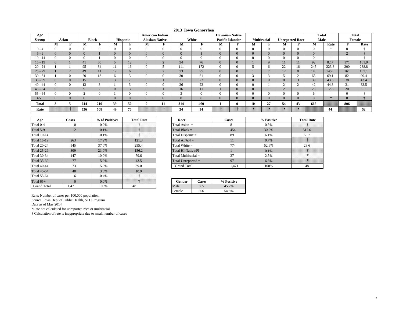| 2013 Iowa Gonorrhea |  |
|---------------------|--|
|---------------------|--|

| Age          |          |                |     |                |                |                 | <b>American Indian</b> |                |          |              | <b>Hawaiian Native</b>  |                |                 |                    |                        |               | <b>Total</b> |       | <b>Total</b>   |       |
|--------------|----------|----------------|-----|----------------|----------------|-----------------|------------------------|----------------|----------|--------------|-------------------------|----------------|-----------------|--------------------|------------------------|---------------|--------------|-------|----------------|-------|
| Group        |          | Asian          |     | <b>Black</b>   |                | <b>Hispanic</b> | <b>Alaskan Native</b>  |                |          | White        | <b>Pacific Islander</b> |                |                 | <b>Multiracial</b> | <b>Unreported Race</b> |               | Male         |       | Female         |       |
|              | M        |                | М   | <b>TO</b>      | M              |                 | М                      | <b>TO</b>      | М        | F            | М                       |                | М               |                    | м                      |               | М            | Rate  |                | Rate  |
| $0 - 4$      | $\Omega$ | $\Omega$       |     | $\theta$       | $\theta$       | $\Omega$        | $\theta$               |                | $\Omega$ | $\Omega$     | $\Omega$                | $\Omega$       |                 | $\overline{0}$     |                        | $\Omega$      | $\Omega$     |       | $\overline{0}$ |       |
| $5 - 9$      | $\Omega$ | $\Omega$       |     |                | $\overline{0}$ | $\Omega$        | $\Omega$               | $\overline{0}$ | $\Omega$ |              | $\Omega$                | $\Omega$       |                 | $\overline{0}$     |                        | $\Omega$      | $\mathbf{0}$ |       |                |       |
| $10 - 14$    | $\Omega$ | $\theta$       |     |                | $\Omega$       | 0               | $\Omega$               |                | $\Omega$ | $\theta$     | $\Omega$                | $\Omega$       |                 | $\mathbf{0}$       |                        | $\Omega$      | v            |       |                |       |
| $15 - 19$    | $\Omega$ |                | 41  | 60             | 5              | 12              | $\overline{0}$         | ∠              | 34       | 76           | $\Omega$                | $\overline{0}$ |                 | 9                  | 11                     | 11            | 92           | 82.7  | 171            | 161.9 |
| $20 - 24$    |          |                | 95  | 84             | 11             | 16              |                        |                | 111      | 172          | $\Omega$                | $\Omega$       |                 | 6                  | 22                     | 16            | 245          | 223.8 | 300            | 288.8 |
| $25 - 29$    |          | $\Omega$<br>∠  | 49  | 41             | 12             | $\mathbf{a}$    | $\Omega$               | ∠              | 73       | 95           | $\Omega$                | $\overline{0}$ |                 | $\overline{ }$     | 12                     | 8             | 148          | 145.8 | 161            | 167.1 |
| $30 - 34$    |          | $\Omega$       | 20  | 13             | 6              |                 |                        |                | 30       | 61           | $\Omega$                | $\Omega$       |                 | $\sim$             |                        | $\sim$        | 65           | 69.1  | 82             | 90.4  |
| $35 - 39$    | $\Omega$ | $\overline{0}$ | 15  |                | $\Omega$       |                 | $\Omega$               |                | 21       | 22           | $\Omega$                | $\Omega$       |                 | $\overline{0}$     |                        | $\sim$<br>J.  | 39           | 43.5  | 38             | 43.4  |
| $40 - 44$    | $\Omega$ | $\theta$       |     |                |                | -               | $\Omega$               |                | 26       | 22           | $\Omega$                | $\Omega$       |                 |                    |                        | $\sim$        | 42           | 44.3  | 31             | 33.5  |
| $45 - 54$    | $\Omega$ |                |     | ∠              | $\overline{0}$ | $\sim$          | $\overline{0}$         |                | 16       | 11           |                         | $\mathbf{0}$   |                 |                    |                        |               | 28           | 12.8  | 20             | 9.1   |
| $55 - 64$    | $\Omega$ | $\theta$       |     | $\Omega$       |                |                 | $\Omega$               |                | $\sim$   | $\theta$     | $\Omega$                | $\Omega$       |                 | $\mathbf{0}$       |                        | $\Omega$      | 6            |       | $\Omega$       |       |
| $65+$        | $\Omega$ | $\Omega$       |     | $\overline{0}$ | $\Omega$       | $\Omega$        | $\Omega$               | $\mathbf{0}$   | $\Omega$ | $\mathbf{0}$ | $\Omega$                | $\Omega$       |                 | $\overline{0}$     |                        | $\Omega$      | $\Omega$     |       | $\overline{0}$ |       |
| <b>Total</b> |          | э              | 244 | 210            | 39             | 50              |                        | п              | 314      | 460          |                         | $\mathbf{0}$   | 10              | 27                 | 54                     | 43            | 665          |       | 806            |       |
| Rate         |          |                | 526 | 508            | 49             | 70              |                        |                | 24       | 34           |                         |                | $\mathcal{R}$ . | $\frac{1}{2}$      | $\rightarrow$          | $\mathcal{R}$ |              | 44    |                | 52    |

| Age                | <b>Cases</b>   | % of Positives | <b>Total Rate</b> | Race                  |              | <b>Cases</b> |
|--------------------|----------------|----------------|-------------------|-----------------------|--------------|--------------|
| Total 0-4          | $\mathbf{0}$   | 0.0%           |                   | Total Asian $=$       |              | 8            |
| Total 5-9          | $\overline{2}$ | 0.1%           |                   | Total Black $=$       |              | 454          |
| <b>Total 10-14</b> |                | 0.1%           |                   | Total Hispanic $=$    |              | 89           |
| <b>Total 15-19</b> | 263            | 17.9%          | 121.3             | Total $AI/AN =$       |              | 11           |
| <b>Total 20-24</b> | 545            | 37.0%          | 255.4             | Total White $=$       |              | 774          |
| <b>Total 25-29</b> | 309            | 21.0%          | 156.2             | Total HI Native/PI=   |              |              |
| <b>Total 30-34</b> | 147            | 10.0%          | 79.6              | Total Multiracial $=$ |              | 37           |
| <b>Total 35-39</b> | 77             | 5.2%           | 43.5              | Total Unreported $=$  |              | 97           |
| <b>Total 40-44</b> | 73             | 5.0%           | 39.0              | <b>Grand Total</b>    |              | 1,471        |
| <b>Total 45-54</b> | 48             | 3.3%           | 10.9              |                       |              |              |
| Total 55-64        | 6              | 0.4%           |                   |                       |              |              |
| Total $65+$        | $\Omega$       | 0.0%           |                   | Gender                | <b>Cases</b> | % Positive   |
| <b>Grand Total</b> | 1.471          | 100%           | 48                | Male                  | 665          | 45.2%        |

| Race                  | <b>Cases</b> | % Positive | <b>Total Rate</b> |
|-----------------------|--------------|------------|-------------------|
| Total Asian $=$       | 8            | 0.5%       |                   |
| Total Black $=$       | 454          | 30.9%      | 517.6             |
| Total Hispanic =      | 89           | 6.1%       | 58.7              |
| Total $AI/AN =$       | 11           | 0.7%       |                   |
| Total White $=$       | 774          | 52.6%      | 28.6              |
| Total HI Native/PI=   |              | 0.1%       |                   |
| Total Multiracial $=$ | 37           | 2.5%       |                   |
| Total Unreported $=$  | 97           | 6.6%       |                   |
| <b>Grand Total</b>    | 1.471        | 100%       |                   |

| Gender | <b>Cases</b> | % Positive |
|--------|--------------|------------|
| Male   | 665          | 45.2%      |
| Female | ጻበ6          | 54 8%      |

Source: Iowa Dept of Public Health, STD Program

Data as of May 2014

\*Rate not calculated for unreported race or multiracial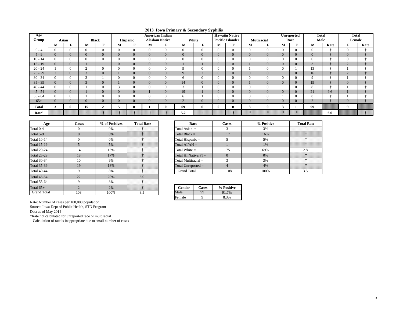|                   |   |                |                |                    |          |                 |                |                        |               |                |                | <b>Hawaiin Native</b>   |                     |                |                |                   |                |      |                |      |
|-------------------|---|----------------|----------------|--------------------|----------|-----------------|----------------|------------------------|---------------|----------------|----------------|-------------------------|---------------------|----------------|----------------|-------------------|----------------|------|----------------|------|
| Age               |   |                |                |                    |          |                 |                | <b>American Indian</b> |               |                |                |                         |                     |                |                | <b>Unreported</b> | <b>Total</b>   |      | <b>Total</b>   |      |
| Group             |   | Asian          |                | <b>Black</b>       |          | <b>Hispanic</b> |                | <b>Alaskan Native</b>  |               | White          |                | <b>Pacific Islander</b> |                     | Mutiracial     |                | Race              | Male           |      | Female         |      |
|                   | М | F              | M              | F                  | М        | T.              | М              | F                      | M             |                | М              | F                       | М                   | F              | М              | F                 | M              | Rate | F              | Rate |
| $0 - 4$           |   | $\Omega$       | $\overline{0}$ | $\mathbf{0}$       | $\Omega$ | $\Omega$        | $\overline{0}$ |                        | $\Omega$      | $\Omega$       | $\overline{0}$ | $\overline{0}$          | $\overline{0}$      | 0              | $\overline{0}$ | $\mathbf{0}$      | $\mathbf{0}$   |      | $\overline{0}$ |      |
| $5 - 9$           |   | $\overline{0}$ | $\mathbf{0}$   | $\mathbf{0}$       | $\Omega$ | $\overline{0}$  | $\overline{0}$ | $\Omega$               | $\mathbf{0}$  | $\mathbf{0}$   | $\overline{0}$ | $\overline{0}$          | $\overline{0}$      | $\overline{0}$ | $\overline{0}$ | $\overline{0}$    | $\overline{0}$ |      | $\overline{0}$ |      |
| $10 - 14$         |   | $\Omega$       | $\overline{0}$ | $\Omega$           | $\Omega$ | $\Omega$        | $\overline{0}$ |                        | $\Omega$      | $\Omega$       | $\Omega$       | $\theta$                | $\overline{0}$      |                | $\theta$       | $\overline{0}$    | $\Omega$       |      | $\Omega$       |      |
| $15 - 19$         |   | $\Omega$       |                |                    | $\Omega$ | $\overline{0}$  | $\overline{0}$ | $\Omega$               |               |                | $\overline{0}$ | $\overline{0}$          |                     | $\overline{0}$ | $\Omega$       | $\mathbf{0}$      | $\mathcal{R}$  |      | $\sim$         |      |
| $20 - 24$         |   | $\theta$       | h<br>↵         | $\mathbf{0}$       | $\theta$ |                 | $\overline{0}$ |                        | Q             | $\Omega$       | $\Omega$       | $\theta$                |                     |                | $\Omega$       |                   | 13             |      |                |      |
| $25 - 29$         |   | $\overline{0}$ | 3              | $\mathbf{0}$       |          | $\overline{0}$  | $\mathbf{0}$   | $\mathbf{0}$           | 9             | $\overline{2}$ | $\overline{0}$ | $\mathbf{0}$            | $\overline{0}$      | $\overline{0}$ |                | $\overline{0}$    | 16             |      | $\sim$         |      |
| $30 - 34$         |   | $\Omega$       | 3              |                    | $\Omega$ | $\Omega$        | $\overline{0}$ |                        | 6             | $\Omega$       | $\mathbf{0}$   | $\mathbf{0}$            | $\overline{0}$      |                | $\Omega$       | $\Omega$          | $\Omega$       |      |                |      |
| $35 - 39$         |   | $\overline{0}$ | 3              | $\mathbf{0}$       |          | $\overline{0}$  | $\overline{0}$ |                        | 14            | $\Omega$       | $\overline{0}$ | $\overline{0}$          |                     | $\overline{0}$ | $\overline{0}$ | $\overline{0}$    | 19             |      | $\overline{0}$ |      |
| $40 - 44$         |   | $\Omega$       |                | $\Omega$           | $\sim$   | $\Omega$        | $\overline{0}$ |                        | 3             |                | $\overline{0}$ | $\mathbf{0}$            | U.                  | 0              |                | $\Omega$          | 8              |      |                |      |
| $45 - 54$         |   | $\overline{0}$ |                | $\mathbf{0}$       | $\Omega$ | $\overline{0}$  |                | $\Omega$               | 19            |                | $\overline{0}$ | $\overline{0}$          | $\overline{0}$      | $\overline{0}$ | $\overline{0}$ | $\overline{0}$    | 21             | 9.6  |                |      |
| $55 - 64$         |   | 0              |                | $\Omega$           | $\theta$ |                 | $\overline{0}$ |                        | 6             |                | $\Omega$       | $\Omega$                | U                   |                |                | $\Omega$          | 8              |      |                |      |
| $65+$             |   | $\overline{0}$ | $\mathbf{0}$   | $\mathbf{0}$       | $\Omega$ | $\overline{0}$  | $\overline{0}$ | $\mathbf{O}$           | $\mathcal{D}$ | $\Omega$       | $\overline{0}$ | $\overline{0}$          | $\overline{0}$      | $\overline{0}$ | $\Omega$       | $\mathbf{0}$      | $\Omega$       |      | $\overline{0}$ |      |
| <b>Total</b>      | 3 | $\bf{0}$       | 15             | $\rightarrow$<br>◢ | 5        |                 |                |                        | 69            | 6              | $\mathbf{0}$   |                         | $\rightarrow$<br>J. |                | 3              |                   | 99             |      | 9              |      |
| Rate <sup>3</sup> |   |                |                |                    |          |                 |                |                        | 5.2           |                |                |                         |                     |                |                | $\approx$         |                | 6.6  |                |      |

| 2013 Iowa Primary & Secondary Syphilis |
|----------------------------------------|
|----------------------------------------|

| Age                | <b>Cases</b>   | % of Positives | <b>Total Rate</b> | Race                 |                                     | Cases    |
|--------------------|----------------|----------------|-------------------|----------------------|-------------------------------------|----------|
| Total 0-4          | $\Omega$       | 0%             |                   | Total Asian $=$      |                                     | 3        |
| Total 5-9          | $\Omega$       | 0%             |                   | Total Black $=$      |                                     | 17       |
| <b>Total 10-14</b> | 0              | $0\%$          |                   | Total Hispanic $=$   |                                     |          |
| <b>Total 15-19</b> | 5              | 5%             |                   | Total $AI/AN =$      |                                     |          |
| <b>Total 20-24</b> | 14             | 13%            |                   |                      | Total White $=$                     |          |
| <b>Total 25-29</b> | 18             | 17%            |                   |                      | Total HI Native/ $PI =$<br>$\Omega$ |          |
| <b>Total 30-34</b> | 10             | 9%             |                   |                      | Total Multiracial $=$               |          |
| <b>Total 35-39</b> | 19             | 18%            |                   | Total Unreported $=$ |                                     |          |
| <b>Total 40-44</b> | 9              | 8%             |                   | <b>Grand Total</b>   |                                     | 108      |
| <b>Total 45-54</b> | 22             | 20%            | 5.0               |                      |                                     |          |
| <b>Total 55-64</b> | 9              | 8%             |                   |                      |                                     |          |
| Total $65+$        | $\mathfrak{D}$ | 2%             |                   | Gender               | <b>Cases</b>                        | % Positi |
| <b>Grand Total</b> | 108            | 100%           | 3.5               | Male                 | 99                                  | 91.7%    |

| 'ositives | <b>Total Rate</b>                    | Race                    | <b>Cases</b> | % Positive |  |
|-----------|--------------------------------------|-------------------------|--------------|------------|--|
| %         | .<br>.<br>.                          | Total Asian $=$         |              | 3%         |  |
| %         | .<br>.<br>.<br>.<br>.                | Total Black $=$         |              | 16%        |  |
| %         | .<br>.<br>.                          | Total Hispanic =        |              | 5%         |  |
| $\%$      |                                      | Total $AI/AN =$         |              | 1%         |  |
| 3%        | .<br>.<br>.<br>.                     | Total White $=$         |              | 69%        |  |
| $7\%$     | .<br>.                               | Total HI Native/ $PI =$ |              | $0\%$      |  |
| %         | .<br>.<br>.<br>.<br>.<br>.<br>.<br>. | Total Multiracial $=$   |              | 3%         |  |
| 3%        |                                      | Total Unreported $=$    |              | 4%         |  |
| %         | .<br>.                               | <b>Grand Total</b>      | 108          | 100%       |  |

|   | Gender | <b>Cases</b> | % Positive |
|---|--------|--------------|------------|
| ◡ | Male   | Эg           | 7%         |
|   | Female |              | 8.3%       |

Source: Iowa Dept of Public Health, STD Program

Data as of May 2014

\*Rate not calculated for unreported race or multiracial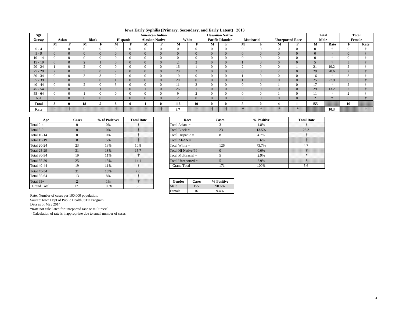| <b>Iowa Early Syphilis (Primary, Secondary, and Early Latent)</b> 2013 |  |  |  |  |  |
|------------------------------------------------------------------------|--|--|--|--|--|
|------------------------------------------------------------------------|--|--|--|--|--|

| Age       |           |                |                           |              |                |                 |                | <b>American Indian</b> |                |                |              | <b>Hawaiian Native</b>  |                |                |                |                        | <b>Total</b>   |      | <b>Total</b> |      |
|-----------|-----------|----------------|---------------------------|--------------|----------------|-----------------|----------------|------------------------|----------------|----------------|--------------|-------------------------|----------------|----------------|----------------|------------------------|----------------|------|--------------|------|
| Group     |           | Asian          |                           | <b>Black</b> |                | <b>Hispanic</b> |                | <b>Alaskan Native</b>  |                | White          |              | <b>Pacific Islander</b> |                | Mutiracial     |                | <b>Unreported Race</b> | Male           |      | Female       |      |
|           | М         | -              | М                         |              | м              | <b>TO</b>       | М              | $\blacksquare$         | M              | <b>TO</b>      | м            | Ð                       | M              | <b>TO</b>      | M              | F                      | M              | Rate |              | Rate |
| $0 - 4$   |           |                | $\theta$                  | $\Omega$     |                | $\Omega$        | $\Omega$       |                        | $\overline{0}$ | $\theta$       | $\Omega$     | $\Omega$                | $\Omega$       | $\Omega$       | $\mathbf{0}$   | $\mathbf{0}$           | $\mathbf{0}$   |      |              |      |
| $5 - 9$   | $\Omega$  | $\overline{0}$ | $\mathbf{0}$              | $\Omega$     | $\overline{0}$ | $\overline{0}$  | $\overline{0}$ |                        | $\mathbf{0}$   | $\mathbf{0}$   | $\Omega$     | $\Omega$                | $\overline{0}$ | $\overline{0}$ | $\overline{0}$ | $\overline{0}$         | $\mathbf{0}$   |      | $\bf{0}$     |      |
| $10 - 14$ |           |                | $\Omega$                  | $\Omega$     |                | $\Omega$        | $\Omega$       |                        | $\mathbf 0$    | $\overline{0}$ | $\Omega$     |                         | $\Omega$       | $\overline{0}$ | $\mathbf{0}$   | $\mathbf{0}$           | $\mathbf{0}$   |      |              |      |
| $15 - 19$ | $\theta$  | $\overline{0}$ | $\Omega$<br>$\mathcal{L}$ |              | $\overline{0}$ | $\overline{0}$  | $\overline{0}$ |                        | $\overline{2}$ | $\overline{2}$ | $\mathbf{0}$ | $\mathbf{0}$            |                | $\mathbf{0}$   | $\mathbf{0}$   | $\mathbf{0}$           | $\mathcal{D}$  |      |              |      |
| $20 - 24$ |           |                |                           | $\Omega$     |                | $\Omega$        | $\Omega$       |                        | 16             |                |              |                         |                | $\overline{0}$ | $\overline{0}$ |                        | 21             | 19.2 |              |      |
| $25 - 29$ | $\bigcap$ | $\overline{0}$ | $\sqrt{ }$<br>3           | $\Omega$     |                | $\overline{0}$  | $\Omega$       | $\mathbf{0}$           | 20             | $\overline{2}$ | $\Omega$     | $\Omega$                | $\overline{0}$ | $\mathbf{0}$   | 2              | $\mathbf{0}$           | 29             | 28.6 |              |      |
| $30 - 34$ |           |                |                           |              |                | $\Omega$        | $\Omega$       |                        | 10             | $\overline{0}$ |              |                         |                |                | $\Omega$       | $\overline{0}$         | 16             |      |              |      |
| $35 - 39$ | $\theta$  |                | $\sqrt{ }$<br>$\Delta$    | $\Omega$     |                | $\overline{0}$  | $\overline{0}$ |                        | 20             | $\mathbf{0}$   |              |                         |                | $\overline{0}$ | $\overline{0}$ | $\mathbf{0}$           | 25             | 27.9 |              |      |
| $40 - 44$ |           |                | $\sim$                    | $\Omega$     |                | $\Omega$        | $\Omega$       |                        | 11             | $\sim$         |              |                         | $\Omega$       | $\mathbf{0}$   |                | $\mathbf{0}$           | 17             |      |              |      |
| $45 - 54$ |           | $\mathbf{0}$   | $\Omega$<br>∠             |              | $\overline{0}$ | $\overline{0}$  |                | <b>v</b>               | 26             |                | $\Omega$     | $\mathbf{0}$            | $\overline{0}$ | $\overline{0}$ | $\overline{0}$ | $\mathbf{0}$           | 29             | 13.2 | ∠            |      |
| $55 - 64$ |           |                |                           | $\Omega$     |                | $\Omega$        | $\Omega$       |                        | $\Omega$       | $\sim$<br>∠    |              |                         | $\Omega$       | $\overline{0}$ |                | $\mathbf{0}$           | 11             |      |              |      |
| $65+$     | $\Omega$  | $\overline{0}$ | $\Omega$                  | $\Omega$     | $\overline{0}$ | $\Omega$        | $\Omega$       |                        | $\Omega$<br>∠  | $\overline{0}$ | $\Omega$     | $\Omega$                | $\Omega$       | $\overline{0}$ | $\overline{0}$ | $\overline{0}$         | $\overline{2}$ |      | $\Omega$     |      |
| Total     |           | 0              | 18                        | э            |                | $\mathbf{0}$    |                | -01                    | 116            | 10             | $\mathbf{0}$ | $\mathbf{0}$            | C.             | $\mathbf{0}$   | 4              |                        | 155            |      | 16           |      |
| Rate      |           |                |                           |              |                |                 |                |                        | 8.7            |                |              |                         | 宋              | 宋              | $\ast$         | $\gg$                  |                | 10.3 |              |      |

| Age                | <b>Cases</b>   | % of Positives | <b>Total Rate</b> | Race                    |                       | Cases    |
|--------------------|----------------|----------------|-------------------|-------------------------|-----------------------|----------|
| Total 0-4          | $\Omega$       | 0%             |                   | Total Asian $=$         | 3                     |          |
| Total 5-9          | $\Omega$       | 0%             |                   | Total Black $=$         | 23                    |          |
| <b>Total 10-14</b> | $\Omega$       | 0%             |                   | Total Hispanic $=$      |                       | 8        |
| <b>Total 15-19</b> | 8              | 5%             |                   | Total $AI/AN =$         |                       |          |
| <b>Total 20-24</b> | 23             | 13%            | 10.8              | Total White $=$         |                       | 126      |
| <b>Total 25-29</b> | 31             | 18%            | 15.7              | Total HI Native/ $PI =$ | $\Omega$              |          |
| <b>Total 30-34</b> | 19             | 11%            |                   |                         | Total Multiracial $=$ |          |
| <b>Total 35-39</b> | 25             | 15%            | 14.1              | Total Unreported $=$    |                       |          |
| <b>Total 40-44</b> | 19             | 11%            |                   | <b>Grand Total</b>      |                       | 171      |
| <b>Total 45-54</b> | 31             | 18%            | 7.0               |                         |                       |          |
| <b>Total 55-64</b> | 13             | 8%             |                   |                         |                       |          |
| Total $65+$        | $\overline{2}$ | 1%             |                   | Gender                  | <b>Cases</b>          | % Positi |
| <b>Grand Total</b> | 171            | 100%           | 5.6               | Male                    | 155                   | 90.6%    |

| <b>'ositives</b> | <b>Total Rate</b> | Race                    | Cases | % Positive | <b>Total Rate</b> |
|------------------|-------------------|-------------------------|-------|------------|-------------------|
| %                |                   | Total Asian $=$         |       | 1.8%       |                   |
| %                |                   | Total Black $=$         |       | 13.5%      | 26.2              |
| %                |                   | Total Hispanic $=$      |       | 4.7%       |                   |
| %                |                   | Total $AI/AN =$         |       | 0.6%       |                   |
| 3%               | 10.8              | Total White $=$         | 126   | 73.7%      |                   |
| 3%               |                   | Total HI Native/ $PI =$ |       | 0.0%       |                   |
| $\frac{0}{6}$    |                   | Total Multiracial $=$   |       | 2.9%       |                   |
| 5%               | 14.1              | Total Unreported $=$    |       | 2.9%       |                   |
| $\frac{0}{6}$    |                   | <b>Grand Total</b>      |       | 00%        |                   |

|   | Gender | Cases | % Positive |
|---|--------|-------|------------|
| б | Male   |       | 90.6%      |
|   | Female | .6    | 9.4%       |

Source: Iowa Dept of Public Health, STD Program

Data as of May 2014

\*Rate not calculated for unreported race or multiracial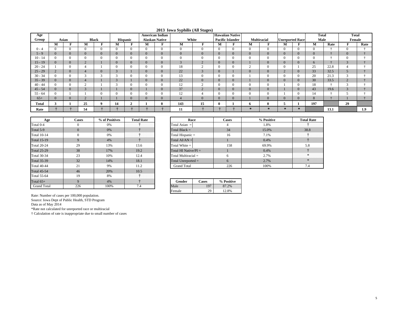|  |  | 2013 Iowa Syphilis (All Stages) |  |  |
|--|--|---------------------------------|--|--|
|--|--|---------------------------------|--|--|

| Age       |                          |                |                |              |                          |                 |                | <b>American Indian</b> | $\sim$ $\blacksquare$ | $\sim$         |                | <b>Hawaiian Native</b>  |                |                    |                        |                 | <b>Total</b>   |      | Total                        |      |
|-----------|--------------------------|----------------|----------------|--------------|--------------------------|-----------------|----------------|------------------------|-----------------------|----------------|----------------|-------------------------|----------------|--------------------|------------------------|-----------------|----------------|------|------------------------------|------|
| Group     |                          | Asian          |                | <b>Black</b> |                          | <b>Hispanic</b> |                | <b>Alaskan Native</b>  |                       | White          |                | <b>Pacific Islander</b> |                | <b>Multiracial</b> | <b>Unreported Race</b> |                 | Male           |      | Female                       |      |
|           | М                        | -              | M              | F            | м                        | $\blacksquare$  | М              | -                      | М                     |                | М              | $\blacksquare$          | М              | F                  | М                      |                 | М              | Rate | -                            | Rate |
| $0 - 4$   |                          | $\Omega$       | $\theta$       |              |                          | $\theta$        | $\Omega$       | $\Omega$               |                       | $\overline{0}$ | $\Omega$       | $\theta$                | $\Omega$       | $\mathbf{0}$       |                        |                 | $\Omega$       |      | $\mathbf{0}$                 |      |
| $5 - 9$   | $\Omega$                 | $\Omega$       | $\overline{0}$ | $\Omega$     |                          | $\overline{0}$  | $\Omega$       | $\Omega$               |                       | $\Omega$       | $\Omega$       | $\overline{0}$          | $\overline{0}$ | $\overline{0}$     |                        |                 | $\overline{0}$ |      | $\mathbf{0}$                 |      |
| $10 - 14$ |                          | $\theta$       | $\theta$       |              |                          | $\theta$        | $\Omega$       |                        |                       | $\overline{0}$ | $\Omega$       | $\Omega$                | $\Omega$       | $\Omega$           |                        |                 | $\theta$       |      | $\Omega$                     |      |
| $15 - 19$ | $\Omega$                 | $\mathbf{0}$   | $\sim$<br>∠    |              | v                        | $\overline{0}$  | $\overline{0}$ | $\overline{0}$         | $\sim$                | $\overline{2}$ | $\overline{0}$ | $\overline{0}$          |                | $\overline{0}$     |                        | $\mathbf{0}$    | 6              |      | $\sqrt{2}$<br>$\mathfrak{I}$ |      |
| $20 - 24$ |                          | $\theta$       | 4              |              |                          | $\theta$        | $\theta$       | $\theta$               | 18                    | $\sim$<br>∠    | $\Omega$       | $\overline{0}$          | $\sim$         | 0                  |                        |                 | 25             | 22.8 |                              |      |
| $25 - 29$ | $\sim$                   | $\overline{0}$ | $\overline{4}$ | $\Omega$     | $\overline{\phantom{0}}$ |                 | $\overline{0}$ | $\overline{0}$         | 22                    | 3              | $\overline{0}$ |                         | $\overline{0}$ | $\overline{0}$     | $\sim$                 | $\overline{0}$  | 33             | 32.5 |                              |      |
| $30 - 34$ |                          | $\Omega$       | $\sim$         |              |                          | $\theta$        | $\Omega$       | $\Omega$               | 13                    | $\Omega$       |                |                         |                | $\Omega$           |                        |                 | 20             | 21.3 |                              |      |
| $35 - 39$ | $\Omega$                 | $\Omega$       | 4              |              |                          |                 | $\overline{0}$ | $\Omega$               | 22                    | $\Omega$       | $\Omega$       | $\overline{0}$          |                | $\overline{0}$     |                        |                 | 30             | 33.5 |                              |      |
| $40 - 44$ |                          | $\Omega$       |                |              |                          | $\Omega$        | $\Omega$       |                        | 12                    | $\sim$         |                | $\Omega$                | $\overline{0}$ | 0                  |                        |                 | 18             |      |                              |      |
| $45 - 54$ |                          | $\Omega$       | $\Omega$       |              |                          | $\overline{0}$  |                | $\overline{0}$         | 37                    | $\sim$<br>2    | $\overline{0}$ | $\overline{0}$          | $\overline{0}$ | $\overline{0}$     |                        |                 | 43             | 19.6 |                              |      |
| $55 - 64$ |                          |                |                |              |                          |                 | 0              |                        | 12                    |                |                | $\theta$                | $\Omega$       | 0                  |                        |                 | 14             |      |                              |      |
| $65+$     |                          | $\Omega$       | $\sim$         |              |                          | $\Omega$        | $\Omega$       | $\Omega$               |                       | $\Omega$       | $\Omega$       | $\overline{0}$          |                | $\Omega$           |                        |                 | 8              |      |                              |      |
| Total     | $\overline{\phantom{a}}$ |                | 25             |              | 14                       | ▵               |                |                        | 143                   | 15             |                |                         | 0              | 0                  |                        |                 | 197            |      | 29                           |      |
| Rate      |                          |                | 54             |              |                          |                 |                |                        | 11                    |                |                |                         | 寒              | $\gg$              | $\ast$                 | $\mathcal{R}$ : |                | 13.1 |                              | 1.9  |

| Age                | <b>Cases</b> | % of Positives | <b>Total Rate</b> | Race                    |              | Cases    |
|--------------------|--------------|----------------|-------------------|-------------------------|--------------|----------|
| Total 0-4          | $_{0}$       | 0%             |                   | Total Asian $=$         |              | 4        |
| Total 5-9          | $\Omega$     | 0%             |                   | Total Black $=$         |              | 34       |
| <b>Total 10-14</b> | $\theta$     | 0%             |                   | Total Hispanic $=$      |              | 16       |
| <b>Total 15-19</b> | 9            | 4%             |                   | Total $AI/AN =$         |              |          |
| <b>Total 20-24</b> | 29           | 13%            | 13.6              | Total White $=$         |              | 158      |
| <b>Total 25-29</b> | 38           | 17%            | 19.2              | Total HI Native/ $PI =$ |              |          |
| <b>Total 30-34</b> | 23           | 10%            | 12.4              | Total Multiracial $=$   |              | 6        |
| <b>Total 35-39</b> | 32           | 14%            | 18.1              | Total Unreported $=$    |              | 6        |
| <b>Total 40-44</b> | 21           | 9%             | 11.2              | <b>Grand Total</b>      |              | 226      |
| <b>Total 45-54</b> | 46           | 20%            | 10.5              |                         |              |          |
| <b>Total 55-64</b> | 19           | 8%             |                   |                         |              |          |
| Total $65+$        | 9            | 4%             |                   | Gender                  | <b>Cases</b> | % Positi |
| <b>Grand Total</b> | 226          | 100%           | 7.4               | Male                    | 197          | 87.2%    |

| ositives      | <b>Total Rate</b> | Race                    | Cases | % Positive | <b>Total Rate</b> |
|---------------|-------------------|-------------------------|-------|------------|-------------------|
| %             | .<br>.            | Total Asian $=$         |       | 1.8%       |                   |
| %             |                   | Total Black $=$         | 34    | 15.0%      | 38.8              |
| %             |                   | Total Hispanic =        | 16    | 7.1%       | .<br>.            |
| %             |                   | Total $AI/AN =$         |       | 0.4%       |                   |
| 3%            | 13.6              | Total White $=$         | 158   | 69.9%      |                   |
| $7\%$         | 19.2              | Total HI Native/ $PI =$ |       | 0.4%       | .<br>.            |
| $\frac{9}{6}$ | 12.4              | Total Multiracial $=$   |       | 2.7%       |                   |
| 1%            | 18.1              | Total Unreported $=$    |       | 2.7%       | <b>NV</b><br>.    |
| %             | 11.2              | <b>Grand Total</b>      | 226   | 100%       |                   |

| Gender | Cases | % Positive |
|--------|-------|------------|
| Male   | 197   | 2%         |
| Female | າດ    | 8%         |

Source: Iowa Dept of Public Health, STD Program

Data as of May 2014

\*Rate not calculated for unreported race or multiracial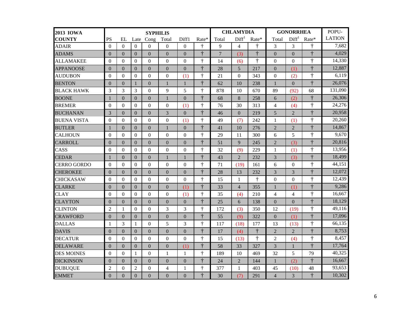| <b>2013 IOWA</b>   |                | <b>SYPHILIS</b> |                |                |                |                |            |                | <b>CHLAMYDIA</b>  |            | <b>GONORRHEA</b> | POPU-             |                  |               |  |
|--------------------|----------------|-----------------|----------------|----------------|----------------|----------------|------------|----------------|-------------------|------------|------------------|-------------------|------------------|---------------|--|
| <b>COUNTY</b>      | PS             | EL              | Late           | Cong           | Total          | Diff1          | Rate*      | Total          | Diff <sup>1</sup> | Rate*      | Total            | Diff <sup>1</sup> | Rate*            | <b>LATION</b> |  |
| <b>ADAIR</b>       | $\theta$       | $\Omega$        | $\Omega$       | $\Omega$       | $\Omega$       | $\Omega$       | $\ddagger$ | 9              | $\overline{4}$    | ÷          | 3                | 3                 | $\dagger$        | 7,682         |  |
| <b>ADAMS</b>       | $\Omega$       | $\Omega$        | $\Omega$       | $\Omega$       | $\theta$       | $\Omega$       | $\ddagger$ | $\overline{7}$ | (3)               | $\ddagger$ | $\Omega$         | $\Omega$          | $\ddagger$       | 4,029         |  |
| <b>ALLAMAKEE</b>   | $\Omega$       | $\Omega$        | $\Omega$       | $\theta$       | $\Omega$       | $\Omega$       | $\ddagger$ | 14             | (6)               | $\ddagger$ | $\Omega$         | $\Omega$          | $\ddagger$       | 14,330        |  |
| <b>APPANOOSE</b>   | $\Omega$       | $\Omega$        | $\Omega$       | $\Omega$       | $\theta$       | $\Omega$       | $\ddagger$ | 28             | $\overline{5}$    | 217        | $\Omega$         | (1)               | $\ddagger$       | 12,887        |  |
| <b>AUDUBON</b>     | $\Omega$       | $\Omega$        | $\Omega$       | $\theta$       | $\theta$       | (1)            | $\ddagger$ | 21             | $\Omega$          | 343        | $\Omega$         | (2)               | $\dagger$        | 6.119         |  |
| <b>BENTON</b>      | $\Omega$       | $\Omega$        | $\mathbf{1}$   | $\Omega$       | $\mathbf{1}$   | 1              | $\ddagger$ | 62             | 10                | 238        | 1                | $\Omega$          | $\ddagger$       | 26,076        |  |
| <b>BLACK HAWK</b>  | 3              | 3               | 3              | $\Omega$       | 9              | 5              | $\ddagger$ | 878            | 10                | 670        | 89               | (92)              | 68               | 131,090       |  |
| <b>BOONE</b>       | $\mathbf{1}$   | $\Omega$        | $\Omega$       | $\overline{0}$ | $\mathbf{1}$   | $\overline{0}$ | $\ddagger$ | 68             | 8                 | 258        | 6                | (2)               | $\ddagger$       | 26,306        |  |
| <b>BREMER</b>      | $\theta$       | $\Omega$        | $\Omega$       | $\theta$       | $\theta$       | (1)            | $\dagger$  | 76             | 30                | 313        | $\overline{4}$   | (4)               | $\ddagger$       | 24,276        |  |
| <b>BUCHANAN</b>    | 3              | $\Omega$        | $\Omega$       | $\Omega$       | 3              | $\Omega$       | $\ddagger$ | 46             | $\Omega$          | 219        | 5                | $\overline{2}$    | $\ddot{\dagger}$ | 20,958        |  |
| <b>BUENA VISTA</b> | $\Omega$       | $\Omega$        | $\Omega$       | $\theta$       | $\theta$       | (1)            | $\ddagger$ | 49             | (7)               | 242        | 1                | (1)               | $\ddagger$       | 20,260        |  |
| <b>BUTLER</b>      |                | $\Omega$        | $\overline{0}$ | $\overline{0}$ | $\mathbf{1}$   | $\mathbf{0}$   | $\ddagger$ | 41             | 10                | 276        | $\overline{2}$   | $\overline{2}$    | $\ddagger$       | 14,867        |  |
| <b>CALHOUN</b>     | $\Omega$       | $\Omega$        | $\Omega$       | $\theta$       | $\theta$       | $\theta$       | $\ddagger$ | 29             | 11                | 300        | 6                | 5                 | $\ddagger$       | 9,670         |  |
| <b>CARROLL</b>     | $\Omega$       | $\Omega$        | $\Omega$       | $\Omega$       | $\theta$       | $\Omega$       | $\ddagger$ | 51             | 9                 | 245        | $\overline{2}$   | (3)               | $\ddagger$       | 20,816        |  |
| CASS               | $\Omega$       | $\Omega$        | $\Omega$       | $\Omega$       | $\Omega$       | $\Omega$       | $\ddagger$ | 32             | (9)               | 229        | 1                | (1)               | $\ddagger$       | 13,956        |  |
| <b>CEDAR</b>       | $\mathbf{1}$   | $\Omega$        | $\overline{0}$ | $\Omega$       | $\overline{1}$ | 1              | $\ddagger$ | 43             | $\overline{2}$    | 232        | 3                | (3)               | $\ddagger$       | 18,499        |  |
| <b>CERRO GORDO</b> | $\Omega$       | $\Omega$        | $\overline{0}$ | $\Omega$       | $\Omega$       | $\Omega$       | $\ddagger$ | 71             | (19)              | 161        | 6                | $\Omega$          | $\ddagger$       | 44,151        |  |
| <b>CHEROKEE</b>    | $\Omega$       | $\Omega$        | $\overline{0}$ | $\overline{0}$ | $\theta$       | $\overline{0}$ | $\dagger$  | 28             | 13                | 232        | 3                | 3                 | $\ddagger$       | 12,072        |  |
| <b>CHICKASAW</b>   | $\theta$       | $\Omega$        | $\Omega$       | $\theta$       | $\theta$       | $\Omega$       | $\dagger$  | 15             | -1                | $\dagger$  | $\overline{0}$   | $\theta$          | $\ddagger$       | 12,439        |  |
| <b>CLARKE</b>      | $\Omega$       | $\Omega$        | $\Omega$       | $\Omega$       | $\theta$       | (1)            | $\ddagger$ | 33             | $\overline{4}$    | 355        | 1                | (1)               | $\ddot{\tau}$    | 9,286         |  |
| <b>CLAY</b>        | $\theta$       | $\Omega$        | $\Omega$       | $\theta$       | $\theta$       | (1)            | $\ddagger$ | 35             | (4)               | 210        | $\overline{4}$   | $\overline{4}$    | $\ddagger$       | 16,667        |  |
| <b>CLAYTON</b>     | $\Omega$       | $\Omega$        | $\Omega$       | $\Omega$       | $\theta$       | $\theta$       | $\ddagger$ | 25             | 6                 | 138        | $\overline{0}$   | $\Omega$          | $\ddagger$       | 18,129        |  |
| <b>CLINTON</b>     | $\overline{2}$ | $\mathbf{1}$    | $\Omega$       | $\Omega$       | 3              | 3              | $\ddagger$ | 172            | (3)               | 350        | 12               | (19)              | $\ddagger$       | 49.116        |  |
| <b>CRAWFORD</b>    | $\Omega$       | $\Omega$        | $\Omega$       | $\Omega$       | $\theta$       | $\overline{0}$ | $\ddagger$ | 55             | (9)               | 322        | $\overline{0}$   | (1)               | $\ddagger$       | 17,096        |  |
| <b>DALLAS</b>      | $\mathbf{1}$   | 3               | 1              | $\theta$       | 5              | 3              | $\dagger$  | 117            | (18)              | 177        | 13               | (13)              | $\ddagger$       | 66.135        |  |
| <b>DAVIS</b>       | $\Omega$       | $\Omega$        | $\Omega$       | $\Omega$       | $\overline{0}$ | $\overline{0}$ | $\ddagger$ | 17             | (4)               | $\ddagger$ | $\overline{2}$   | $\overline{2}$    | $\ddagger$       | 8,753         |  |
| <b>DECATUR</b>     | $\Omega$       | $\Omega$        | $\Omega$       | $\Omega$       | $\Omega$       | $\Omega$       | $\dagger$  | 15             | (13)              | $\ddagger$ | $\overline{c}$   | (4)               | $\ddagger$       | 8,457         |  |
| <b>DELAWARE</b>    | $\overline{0}$ | $\Omega$        | $\theta$       | $\overline{0}$ | $\Omega$       | (1)            | $\ddagger$ | 58             | 33                | 327        | 3                | $\mathbf{1}$      | $\ddagger$       | 17,764        |  |
| <b>DES MOINES</b>  | $\theta$       | $\Omega$        | $\mathbf{1}$   | $\Omega$       | $\mathbf{1}$   | 1              | $\ddagger$ | 189            | 10                | 469        | 32               | 5                 | 79               | 40,325        |  |
| <b>DICKINSON</b>   | $\Omega$       | $\Omega$        | $\overline{0}$ | $\overline{0}$ | $\Omega$       | $\overline{0}$ | $\ddagger$ | 24             | $\overline{2}$    | 144        | 1                | (2)               | $\ddagger$       | 16,667        |  |
| <b>DUBUQUE</b>     | $\overline{2}$ | $\Omega$        | $\overline{2}$ | $\Omega$       | $\overline{4}$ | 1              | $\ddagger$ | 377            | $\mathbf{1}$      | 403        | 45               | (10)              | 48               | 93,653        |  |
| <b>EMMET</b>       | $\overline{0}$ | $\Omega$        | $\overline{0}$ | $\Omega$       | $\Omega$       | $\mathbf{0}$   | $\ddagger$ | 30             | (7)               | 291        | $\overline{4}$   | 3                 | $\ddagger$       | 10,302        |  |
|                    |                |                 |                |                |                |                |            |                |                   |            |                  |                   |                  |               |  |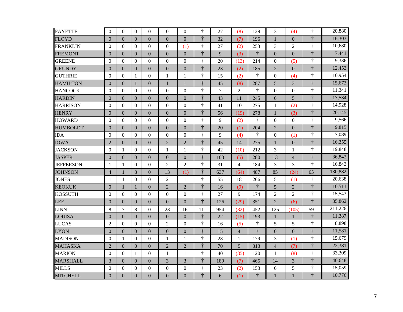| <b>FAYETTE</b>   | $\overline{0}$   | $\Omega$         | $\Omega$       | $\Omega$         | $\Omega$       | $\overline{0}$ | $\dagger$        | 27     | (8)            | 129        | 3                | (4)            | $\dagger$               | 20,880  |
|------------------|------------------|------------------|----------------|------------------|----------------|----------------|------------------|--------|----------------|------------|------------------|----------------|-------------------------|---------|
| <b>FLOYD</b>     | $\theta$         | $\Omega$         | $\Omega$       | $\mathbf{0}$     | $\Omega$       | $\theta$       | $\ddagger$       | 32     | (7)            | 196        | $\mathbf{1}$     | $\Omega$       | $\ddagger$              | 16,303  |
| <b>FRANKLIN</b>  | $\boldsymbol{0}$ | $\Omega$         | $\Omega$       | $\boldsymbol{0}$ | $\theta$       | (1)            | $\dagger$        | 27     | (2)            | 253        | 3                | $\overline{2}$ | $\ddagger$              | 10,680  |
| <b>FREMONT</b>   | $\boldsymbol{0}$ | $\mathbf{0}$     | $\mathbf{0}$   | $\mathbf{0}$     | $\mathbf{0}$   | $\overline{0}$ | $\ddot{\tau}$    | 9      | (3)            | $\ddagger$ | $\boldsymbol{0}$ | $\mathbf{0}$   | $\ddagger$              | 7,441   |
| <b>GREENE</b>    | $\theta$         | $\Omega$         | $\mathbf{0}$   | $\Omega$         | $\overline{0}$ | $\Omega$       | $\ddagger$       | 20     | (13)           | 214        | $\boldsymbol{0}$ | (5)            | $\ddagger$              | 9,336   |
| <b>GRUNDY</b>    | $\overline{0}$   | $\theta$         | $\overline{0}$ | $\mathbf{0}$     | $\overline{0}$ | $\overline{0}$ | $\ddagger$       | 23     | (2)            | 185        | $\overline{2}$   | $\overline{0}$ | $\dagger$               | 12,453  |
| <b>GUTHRIE</b>   | $\boldsymbol{0}$ | $\Omega$         | 1              | $\overline{0}$   | $\mathbf{1}$   | $\mathbf{1}$   | $\ddagger$       | 15     | (2)            | $\dagger$  | $\boldsymbol{0}$ | (4)            | $\dagger$               | 10,954  |
| <b>HAMILTON</b>  | $\theta$         | $\Omega$         | $\mathbf{1}$   | $\boldsymbol{0}$ | $\mathbf{1}$   | $\mathbf{1}$   | $\ddagger$       | 45     | (8)            | 287        | 5                | $\overline{3}$ | $\ddagger$              | 15,673  |
| <b>HANCOCK</b>   | $\boldsymbol{0}$ | $\boldsymbol{0}$ | $\Omega$       | $\overline{0}$   | $\mathbf{0}$   | $\mathbf{0}$   | $\dagger$        | $\tau$ | 2              | $\ddagger$ | $\boldsymbol{0}$ | $\Omega$       | $\ddagger$              | 11,341  |
| <b>HARDIN</b>    | $\boldsymbol{0}$ | $\Omega$         | $\overline{0}$ | $\mathbf{0}$     | $\mathbf{0}$   | $\mathbf{0}$   | $\ddagger$       | 43     | 11             | 245        | 6                | 5              | $\ddagger$              | 17,534  |
| <b>HARRISON</b>  | $\mathbf{0}$     | $\mathbf{0}$     | $\overline{0}$ | $\boldsymbol{0}$ | $\overline{0}$ | $\overline{0}$ | $\dagger$        | 41     | 10             | 275        | $\mathbf{1}$     | (2)            | $\dagger$               | 14,928  |
| <b>HENRY</b>     | $\theta$         | $\theta$         | $\Omega$       | $\mathbf{0}$     | $\mathbf{0}$   | $\theta$       | $\ddagger$       | 56     | (19)           | 278        | $\mathbf{1}$     | (3)            | $\ddagger$              | 20,145  |
| <b>HOWARD</b>    | $\boldsymbol{0}$ | $\Omega$         | $\mathbf{0}$   | $\boldsymbol{0}$ | $\mathbf{0}$   | $\mathbf{0}$   | $\ddagger$       | 9      | (2)            | $\dagger$  | $\boldsymbol{0}$ | $\overline{0}$ | $\dagger$               | 9,566   |
| <b>HUMBOLDT</b>  | $\boldsymbol{0}$ | $\overline{0}$   | $\mathbf{0}$   | $\mathbf{0}$     | $\mathbf{0}$   | $\overline{0}$ | $\ddagger$       | 20     | (1)            | 204        | $\mathbf{2}$     | $\overline{0}$ | $\ddagger$              | 9,815   |
| <b>IDA</b>       | $\boldsymbol{0}$ | $\Omega$         | $\Omega$       | $\overline{0}$   | $\theta$       | $\Omega$       | $\ddagger$       | 9      | (4)            | $\dagger$  | $\boldsymbol{0}$ | (1)            | $\dagger$               | 7,089   |
| <b>IOWA</b>      | $\overline{2}$   | $\Omega$         | $\mathbf{0}$   | $\mathbf{0}$     | $\overline{2}$ | $\overline{2}$ | $\ddagger$       | 45     | 14             | 275        | $\mathbf 1$      | $\mathbf{0}$   | $\overline{\mathbf{t}}$ | 16,355  |
| <b>JACKSON</b>   | $\boldsymbol{0}$ | 1                | $\overline{0}$ | $\boldsymbol{0}$ | 1              | $\mathbf{1}$   | $\dagger$        | 42     | (10)           | 212        | 3                | 1              | $\dagger$               | 19,848  |
| <b>JASPER</b>    | $\overline{0}$   | $\Omega$         | $\Omega$       | $\overline{0}$   | $\mathbf{0}$   | $\mathbf{0}$   | $\ddagger$       | 103    | (5)            | 280        | 13               | $\overline{4}$ | $\ddagger$              | 36,842  |
| <b>JEFFERSON</b> | $\mathbf{1}$     | 1                | $\mathbf{0}$   | $\overline{0}$   | $\overline{2}$ | $\overline{2}$ | $\ddagger$       | 31     | $\overline{4}$ | 184        | 3                | $\overline{3}$ | $\dagger$               | 16,843  |
| <b>JOHNSON</b>   | $\overline{4}$   | 1                | 8              | $\mathbf{0}$     | 13             | (1)            | $\ddagger$       | 637    | (64)           | 487        | 85               | (24)           | 65                      | 130,882 |
| <b>JONES</b>     | 1                | 1                | $\Omega$       | $\boldsymbol{0}$ | $\overline{2}$ | $\mathbf{1}$   | $\ddagger$       | 55     | 18             | 266        | 5                | (1)            | $\ddagger$              | 20,638  |
| <b>KEOKUK</b>    | $\overline{0}$   | $\mathbf{1}$     | 1              | $\boldsymbol{0}$ | $\overline{2}$ | $\overline{2}$ | $\ddot{\dagger}$ | 16     | (9)            | $\ddagger$ | 5                | $\overline{2}$ | $\ddagger$              | 10,511  |
| <b>KOSSUTH</b>   | $\boldsymbol{0}$ | $\boldsymbol{0}$ | $\overline{0}$ | $\boldsymbol{0}$ | $\mathbf{0}$   | $\mathbf{0}$   | $\ddagger$       | 27     | 9              | 174        | $\overline{2}$   | $\overline{2}$ | $\dagger$               | 15,543  |
| LEE              | $\overline{0}$   | $\Omega$         | $\Omega$       | $\mathbf{0}$     | $\overline{0}$ | $\overline{0}$ | $\ddagger$       | 126    | (29)           | 351        | $\overline{2}$   | (6)            | $\ddagger$              | 35,862  |
| <b>LINN</b>      | 8                | $\overline{7}$   | 8              | $\boldsymbol{0}$ | 23             | 16             | 11               | 954    | (32)           | 452        | 125              | (105)          | 59                      | 211,226 |
| <b>LOUISA</b>    | $\overline{0}$   | $\overline{0}$   | $\mathbf{0}$   | $\boldsymbol{0}$ | $\mathbf{0}$   | $\mathbf{0}$   | $\ddagger$       | 22     | (15)           | 193        | $\mathbf{1}$     | $\mathbf{1}$   | $\overline{\dagger}$    | 11,387  |
| <b>LUCAS</b>     | $\overline{2}$   | $\Omega$         | $\Omega$       | $\boldsymbol{0}$ | $\mathbf{2}$   | $\theta$       | $\dagger$        | 16     | (5)            | $\dagger$  | $\mathfrak s$    | 5              | $\dagger$               | 8,898   |
| <b>LYON</b>      | $\overline{0}$   | $\theta$         | $\mathbf{0}$   | $\boldsymbol{0}$ | $\mathbf{0}$   | $\mathbf{0}$   | $\ddagger$       | 15     | $\overline{4}$ | $\ddagger$ | $\boldsymbol{0}$ | $\mathbf{0}$   | $\ddagger$              | 11,581  |
| <b>MADISON</b>   | $\boldsymbol{0}$ | 1                | $\Omega$       | $\overline{0}$   | $\mathbf{1}$   | $\mathbf{1}$   | $\ddagger$       | 28     | $\mathbf{1}$   | 179        | 3                | (1)            | $\ddagger$              | 15,679  |
| <b>MAHASKA</b>   | $\overline{2}$   | $\Omega$         | $\Omega$       | $\boldsymbol{0}$ | $\overline{2}$ | $\overline{2}$ | $\ddagger$       | 70     | 9              | 313        | $\overline{4}$   | (7)            | $\ddot{\dagger}$        | 22,381  |
| <b>MARION</b>    | $\theta$         | $\Omega$         | 1              | $\overline{0}$   | 1              | $\mathbf{1}$   | $\ddagger$       | 40     | (35)           | 120        | $\mathbf{1}$     | (8)            | $\dagger$               | 33,309  |
| <b>MARSHALL</b>  | 3                | $\overline{0}$   | $\overline{0}$ | $\boldsymbol{0}$ | 3              | 3              | $\ddagger$       | 189    | (7)            | 465        | 14               | 3              | $\ddagger$              | 40,648  |
| <b>MILLS</b>     | $\theta$         | $\theta$         | $\Omega$       | $\boldsymbol{0}$ | $\theta$       | $\Omega$       | $\ddagger$       | 23     | (2)            | 153        | 6                | 5              | $\dagger$               | 15,059  |
| <b>MITCHELL</b>  | $\overline{0}$   | $\overline{0}$   | $\overline{0}$ | $\overline{0}$   | $\mathbf{0}$   | $\overline{0}$ | $\ddagger$       | 6      | (1)            | $\ddagger$ | $\mathbf{1}$     | 1              | $\frac{1}{1}$           | 10,776  |
|                  |                  |                  |                |                  |                |                |                  |        |                |            |                  |                |                         |         |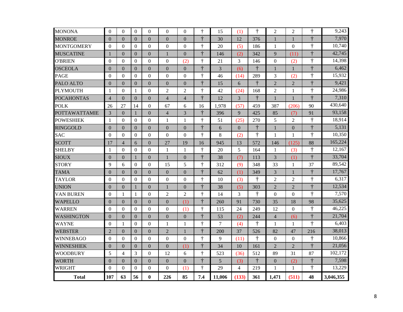| <b>MONONA</b>        | $\theta$         | $\Omega$       | $\Omega$       | $\Omega$         | $\Omega$       | $\Omega$       | $\ddagger$            | 15     | (1)            | $\dagger$  | $\overline{2}$   | $\overline{2}$ | $\dagger$               | 9,243     |
|----------------------|------------------|----------------|----------------|------------------|----------------|----------------|-----------------------|--------|----------------|------------|------------------|----------------|-------------------------|-----------|
| <b>MONROE</b>        | $\overline{0}$   | $\Omega$       | $\Omega$       | $\mathbf{0}$     | $\Omega$       | $\theta$       | $\ddagger$            | 30     | 12             | 376        | $\mathbf{1}$     | $\mathbf{1}$   | $\ddot{\dagger}$        | 7,970     |
| <b>MONTGOMERY</b>    | $\boldsymbol{0}$ | $\Omega$       | $\overline{0}$ | $\overline{0}$   | $\overline{0}$ | $\mathbf{0}$   | $\ddagger$            | 20     | (5)            | 186        | 1                | $\overline{0}$ | $\ddagger$              | 10,740    |
| <b>MUSCATINE</b>     | $\mathbf{1}$     | $\mathbf{0}$   | $\overline{0}$ | $\mathbf{0}$     | 1              | $\overline{0}$ | $\ddot{\tau}$         | 146    | (2)            | 342        | 9                | (11)           | $\ddagger$              | 42,745    |
| <b>O'BRIEN</b>       | $\boldsymbol{0}$ | $\Omega$       | $\Omega$       | $\overline{0}$   | $\mathbf{0}$   | (2)            | $\ddagger$            | 21     | 3              | 146        | $\boldsymbol{0}$ | (2)            | $\ddagger$              | 14,398    |
| <b>OSCEOLA</b>       | $\boldsymbol{0}$ | $\overline{0}$ | $\overline{0}$ | $\boldsymbol{0}$ | $\mathbf{0}$   | $\overline{0}$ | $\ddagger$            | 3      | (6)            | $\ddagger$ | $\mathbf{1}$     | 1              | $\ddagger$              | 6,462     |
| <b>PAGE</b>          | $\overline{0}$   | $\Omega$       | $\Omega$       | $\mathbf{0}$     | $\theta$       | $\theta$       | $\ddagger$            | 46     | (14)           | 289        | 3                | (2)            | $\dagger$               | 15,932    |
| PALO ALTO            | $\overline{0}$   | $\theta$       | $\Omega$       | $\mathbf{0}$     | $\mathbf{0}$   | $\mathbf{0}$   | $\ddagger$            | 15     | 6              | $\dagger$  | $\overline{2}$   | $\overline{2}$ | $\dagger$               | 9,421     |
| <b>PLYMOUTH</b>      | $\mathbf{1}$     | $\Omega$       | $\mathbf{1}$   | $\boldsymbol{0}$ | $\overline{2}$ | $\overline{2}$ | $\ddagger$            | 42     | (24)           | 168        | $\overline{2}$   | $\mathbf{1}$   | $\ddagger$              | 24,986    |
| <b>POCAHONTAS</b>    | $\overline{4}$   | $\Omega$       | $\Omega$       | $\mathbf{0}$     | $\overline{4}$ | $\overline{4}$ | $\overline{\ddagger}$ | 12     | $\overline{3}$ | $\ddagger$ | $\mathbf{1}$     | $\mathbf{1}$   | $\ddagger$              | 7,310     |
| <b>POLK</b>          | 26               | 27             | 14             | $\mathbf{0}$     | 67             | 6              | 16                    | 1,978  | (57)           | 459        | 387              | (206)          | 90                      | 430,640   |
| <b>POTTAWATTAMIE</b> | 3                | $\Omega$       | $\mathbf{1}$   | $\mathbf{0}$     | $\overline{4}$ | 3              | $\ddagger$            | 396    | 9              | 425        | 85               | (7)            | 91                      | 93,158    |
| <b>POWESHIEK</b>     | 1                | $\Omega$       | $\overline{0}$ | $\overline{0}$   | 1              | $\mathbf{1}$   | $\ddagger$            | 51     | (25)           | 270        | 5                | 2              | $\dagger$               | 18,914    |
| <b>RINGGOLD</b>      | $\overline{0}$   | $\overline{0}$ | $\overline{0}$ | $\boldsymbol{0}$ | $\overline{0}$ | $\mathbf{0}$   | $\ddot{\tau}$         | 6      | $\overline{0}$ | $\ddagger$ | $\mathbf 1$      | $\overline{0}$ | $\ddagger$              | 5,131     |
| <b>SAC</b>           | $\Omega$         | $\theta$       | $\Omega$       | $\boldsymbol{0}$ | $\theta$       | $\Omega$       | $\ddagger$            | $8\,$  | (2)            | $\dagger$  | $\mathbf{1}$     | $\mathbf{1}$   | $\ddagger$              | 10,350    |
| <b>SCOTT</b>         | 17               | $\overline{4}$ | 6              | $\mathbf{0}$     | 27             | 19             | 16                    | 945    | 13             | 572        | 146              | (125)          | 88                      | 165,224   |
| <b>SHELBY</b>        | $\mathbf{1}$     | $\Omega$       | $\Omega$       | $\overline{0}$   | 1              | 1              | $\ddagger$            | 20     | 5              | 164        | 1                | (3)            | $\dagger$               | 12,167    |
| <b>SIOUX</b>         | $\boldsymbol{0}$ | $\theta$       | 1              | $\mathbf{0}$     | 1              | $\overline{0}$ | $\ddagger$            | 38     | (7)            | 113        | 3                | (1)            | $\ddagger$              | 33,704    |
| <b>STORY</b>         | 9                | 6              | $\Omega$       | $\overline{0}$   | 15             | 5              | $\ddagger$            | 312    | (9)            | 348        | 33               | $\mathbf{1}$   | 37                      | 89,542    |
| <b>TAMA</b>          | $\theta$         | $\theta$       | $\Omega$       | $\mathbf{0}$     | $\mathbf{0}$   | $\overline{0}$ | $\ddagger$            | 62     | (1)            | 349        | 3                | $\mathbf{1}$   | $\ddagger$              | 17,767    |
| <b>TAYLOR</b>        | $\boldsymbol{0}$ | $\Omega$       | $\Omega$       | $\overline{0}$   | $\mathbf{0}$   | $\Omega$       | $\ddagger$            | 10     | (3)            | $\ddagger$ | $\overline{2}$   | $\overline{2}$ | $\dagger$               | 6,317     |
| <b>UNION</b>         | $\theta$         | $\Omega$       | 1              | $\mathbf{0}$     | $\mathbf{1}$   | $\overline{0}$ | $\ddagger$            | 38     | (5)            | 303        | $\overline{2}$   | $\overline{2}$ | $\frac{1}{1}$           | 12,534    |
| VAN BUREN            | $\mathbf{0}$     | 1              | 1              | $\overline{0}$   | $\overline{2}$ | $\overline{2}$ | $\ddagger$            | 14     | 3              | $\ddagger$ | $\mathbf{0}$     | $\Omega$       | $\dagger$               | 7,570     |
| <b>WAPELLO</b>       | $\boldsymbol{0}$ | $\mathbf{0}$   | $\overline{0}$ | $\boldsymbol{0}$ | $\mathbf{0}$   | (1)            | $\ddagger$            | 260    | 91             | 730        | 35               | 18             | 98                      | 35,625    |
| <b>WARREN</b>        | $\overline{0}$   | $\Omega$       | $\Omega$       | $\boldsymbol{0}$ | $\theta$       | (1)            | $\ddagger$            | 115    | 24             | 249        | 12               | $\Omega$       | $\ddagger$              | 46,225    |
| <b>WASHINGTON</b>    | $\overline{0}$   | $\theta$       | $\Omega$       | $\mathbf{0}$     | $\overline{0}$ | $\mathbf{0}$   | $\ddagger$            | 53     | (2)            | 244        | $\overline{4}$   | (6)            | $\ddot{\dagger}$        | 21,704    |
| <b>WAYNE</b>         | $\boldsymbol{0}$ | 1              | $\Omega$       | $\boldsymbol{0}$ | 1              | 1              | $\ddagger$            | $\tau$ | (4)            | $\ddagger$ | $\mathbf{1}$     | $\mathbf{1}$   | $\ddagger$              | 6,403     |
| <b>WEBSTER</b>       | $\overline{2}$   | $\Omega$       | $\Omega$       | $\mathbf{0}$     | $\overline{2}$ | $\mathbf{1}$   | $\ddot{\dagger}$      | 200    | 37             | 526        | 82               | 47             | 216                     | 38,013    |
| <b>WINNEBAGO</b>     | $\boldsymbol{0}$ | $\theta$       | $\Omega$       | $\overline{0}$   | $\overline{0}$ | $\mathbf{0}$   | $\ddagger$            | 9      | (11)           | $\dagger$  | $\boldsymbol{0}$ | $\theta$       | $\dagger$               | 10,866    |
| <b>WINNESHIEK</b>    | $\overline{0}$   | $\overline{0}$ | $\overline{0}$ | $\mathbf{0}$     | $\overline{0}$ | (1)            | $\ddagger$            | 34     | 10             | 161        | $\overline{2}$   | $\overline{2}$ | $\ddagger$              | 21,056    |
| <b>WOODBURY</b>      | 5                | $\overline{4}$ | 3              | $\overline{0}$   | 12             | 6              | $\ddagger$            | 523    | (36)           | 512        | 89               | 31             | 87                      | 102,172   |
| <b>WORTH</b>         | $\boldsymbol{0}$ | $\overline{0}$ | $\overline{0}$ | $\boldsymbol{0}$ | $\overline{0}$ | $\overline{0}$ | $\ddagger$            | 5      | (3)            | $\ddagger$ | $\boldsymbol{0}$ | (2)            | $\ddagger$              | 7,598     |
| <b>WRIGHT</b>        | $\theta$         | $\Omega$       | $\Omega$       | $\overline{0}$   | $\Omega$       | (1)            | $\ddagger$            | 29     | 4              | 219        | $\mathbf{1}$     | $\mathbf{1}$   | $\overline{\mathbf{r}}$ | 13,229    |
| <b>Total</b>         | 107              | 63             | 56             | $\bf{0}$         | 226            | 85             | 7.4                   | 11,006 | (133)          | 361        | 1,471            | (511)          | 48                      | 3,046,355 |